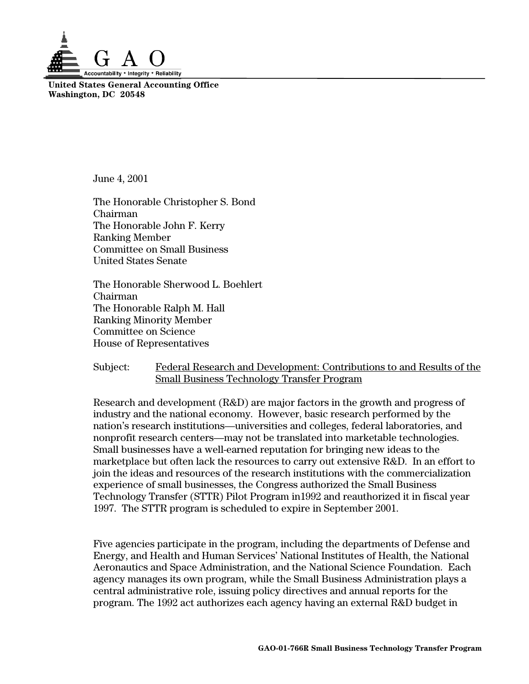

**United States General Accounting Office Washington, DC 20548**

June 4, 2001

The Honorable Christopher S. Bond Chairman The Honorable John F. Kerry Ranking Member Committee on Small Business United States Senate

The Honorable Sherwood L. Boehlert Chairman The Honorable Ralph M. Hall Ranking Minority Member Committee on Science House of Representatives

# Subject: Federal Research and Development: Contributions to and Results of the Small Business Technology Transfer Program

Research and development (R&D) are major factors in the growth and progress of industry and the national economy. However, basic research performed by the nation's research institutions—universities and colleges, federal laboratories, and nonprofit research centers—may not be translated into marketable technologies. Small businesses have a well-earned reputation for bringing new ideas to the marketplace but often lack the resources to carry out extensive R&D. In an effort to join the ideas and resources of the research institutions with the commercialization experience of small businesses, the Congress authorized the Small Business Technology Transfer (STTR) Pilot Program in1992 and reauthorized it in fiscal year 1997. The STTR program is scheduled to expire in September 2001.

Five agencies participate in the program, including the departments of Defense and Energy, and Health and Human Services' National Institutes of Health, the National Aeronautics and Space Administration, and the National Science Foundation. Each agency manages its own program, while the Small Business Administration plays a central administrative role, issuing policy directives and annual reports for the program. The 1992 act authorizes each agency having an external R&D budget in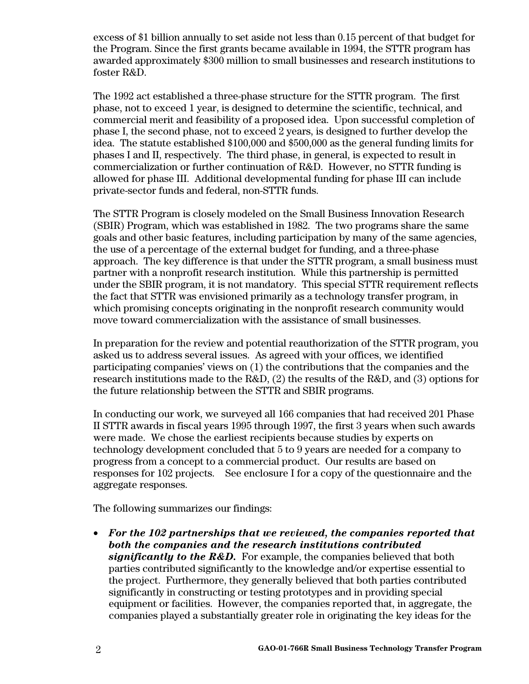excess of \$1 billion annually to set aside not less than 0.15 percent of that budget for the Program. Since the first grants became available in 1994, the STTR program has awarded approximately \$300 million to small businesses and research institutions to foster R&D.

The 1992 act established a three-phase structure for the STTR program. The first phase, not to exceed 1 year, is designed to determine the scientific, technical, and commercial merit and feasibility of a proposed idea. Upon successful completion of phase I, the second phase, not to exceed 2 years, is designed to further develop the idea. The statute established \$100,000 and \$500,000 as the general funding limits for phases I and II, respectively. The third phase, in general, is expected to result in commercialization or further continuation of R&D. However, no STTR funding is allowed for phase III. Additional developmental funding for phase III can include private-sector funds and federal, non-STTR funds.

The STTR Program is closely modeled on the Small Business Innovation Research (SBIR) Program, which was established in 1982. The two programs share the same goals and other basic features, including participation by many of the same agencies, the use of a percentage of the external budget for funding, and a three-phase approach. The key difference is that under the STTR program, a small business must partner with a nonprofit research institution. While this partnership is permitted under the SBIR program, it is not mandatory. This special STTR requirement reflects the fact that STTR was envisioned primarily as a technology transfer program, in which promising concepts originating in the nonprofit research community would move toward commercialization with the assistance of small businesses.

In preparation for the review and potential reauthorization of the STTR program, you asked us to address several issues. As agreed with your offices, we identified participating companies' views on (1) the contributions that the companies and the research institutions made to the R&D, (2) the results of the R&D, and (3) options for the future relationship between the STTR and SBIR programs.

In conducting our work, we surveyed all 166 companies that had received 201 Phase II STTR awards in fiscal years 1995 through 1997, the first 3 years when such awards were made. We chose the earliest recipients because studies by experts on technology development concluded that 5 to 9 years are needed for a company to progress from a concept to a commercial product. Our results are based on responses for 102 projects. See enclosure I for a copy of the questionnaire and the aggregate responses.

The following summarizes our findings:

• *For the 102 partnerships that we reviewed, the companies reported that both the companies and the research institutions contributed significantly to the R&D.* For example, the companies believed that both parties contributed significantly to the knowledge and/or expertise essential to the project. Furthermore, they generally believed that both parties contributed significantly in constructing or testing prototypes and in providing special equipment or facilities. However, the companies reported that, in aggregate, the companies played a substantially greater role in originating the key ideas for the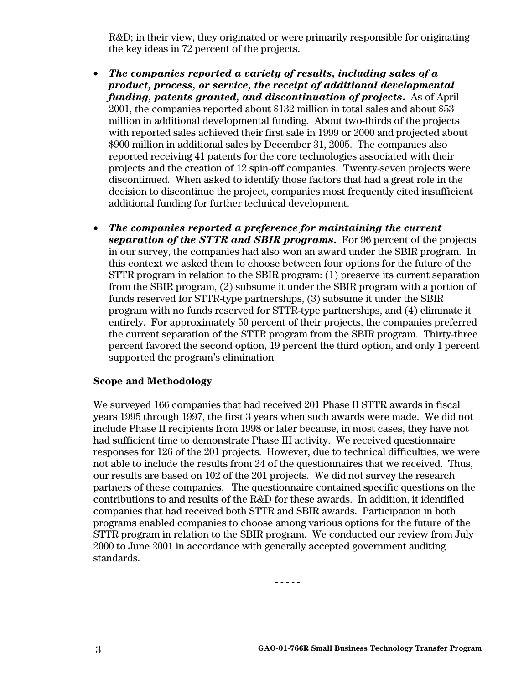R&D; in their view, they originated or were primarily responsible for originating the key ideas in 72 percent of the projects.

- *The companies reported a variety of results, including sales of a product, process, or service, the receipt of additional developmental funding, patents granted, and discontinuation of projects***.** As of April 2001, the companies reported about \$132 million in total sales and about \$53 million in additional developmental funding*.* About two-thirds of the projects with reported sales achieved their first sale in 1999 or 2000 and projected about \$900 million in additional sales by December 31, 2005. The companies also reported receiving 41 patents for the core technologies associated with their projects and the creation of 12 spin-off companies. Twenty-seven projects were discontinued. When asked to identify those factors that had a great role in the decision to discontinue the project, companies most frequently cited insufficient additional funding for further technical development.
- *The companies reported a preference for maintaining the current separation of the STTR and SBIR programs.* For 96 percent of the projects in our survey, the companies had also won an award under the SBIR program. In this context we asked them to choose between four options for the future of the STTR program in relation to the SBIR program: (1) preserve its current separation from the SBIR program, (2) subsume it under the SBIR program with a portion of funds reserved for STTR-type partnerships, (3) subsume it under the SBIR program with no funds reserved for STTR-type partnerships, and (4) eliminate it entirely. For approximately 50 percent of their projects, the companies preferred the current separation of the STTR program from the SBIR program. Thirty-three percent favored the second option, 19 percent the third option, and only 1 percent supported the program's elimination.

# **Scope and Methodology**

We surveyed 166 companies that had received 201 Phase II STTR awards in fiscal years 1995 through 1997, the first 3 years when such awards were made. We did not include Phase II recipients from 1998 or later because, in most cases, they have not had sufficient time to demonstrate Phase III activity. We received questionnaire responses for 126 of the 201 projects. However, due to technical difficulties, we were not able to include the results from 24 of the questionnaires that we received. Thus, our results are based on 102 of the 201 projects. We did not survey the research partners of these companies. The questionnaire contained specific questions on the contributions to and results of the R&D for these awards. In addition, it identified companies that had received both STTR and SBIR awards. Participation in both programs enabled companies to choose among various options for the future of the STTR program in relation to the SBIR program. We conducted our review from July 2000 to June 2001 in accordance with generally accepted government auditing standards.

- - - - -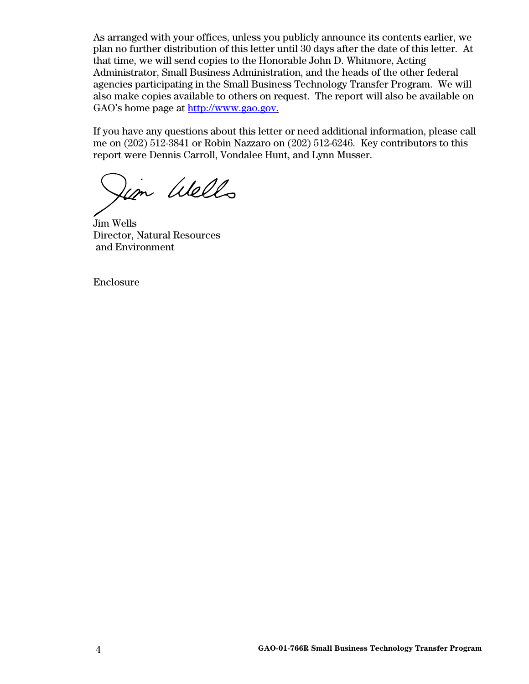As arranged with your offices, unless you publicly announce its contents earlier, we plan no further distribution of this letter until 30 days after the date of this letter. At that time, we will send copies to the Honorable John D. Whitmore, Acting Administrator, Small Business Administration, and the heads of the other federal agencies participating in the Small Business Technology Transfer Program. We will also make copies available to others on request. The report will also be available on GAO's home page at [http://www.gao.gov.](http://www.gao.gov/)

If you have any questions about this letter or need additional information, please call me on (202) 512-3841 or Robin Nazzaro on (202) 512-6246. Key contributors to this report were Dennis Carroll, Vondalee Hunt, and Lynn Musser.

im Wells

Jim Wells Director, Natural Resources and Environment

Enclosure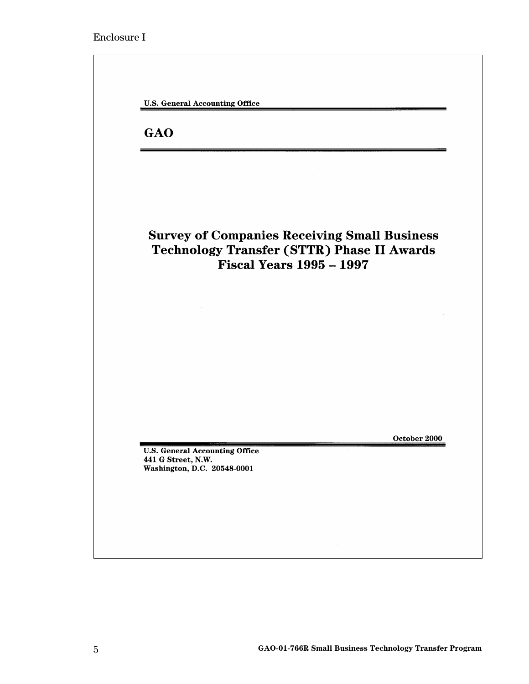| <b>Survey of Companies Receiving Small Business</b><br><b>Technology Transfer (STTR) Phase II Awards</b><br><b>Fiscal Years 1995 - 1997</b> |
|---------------------------------------------------------------------------------------------------------------------------------------------|
|                                                                                                                                             |
|                                                                                                                                             |
|                                                                                                                                             |
|                                                                                                                                             |
|                                                                                                                                             |
| October 2000<br><b>U.S. General Accounting Office</b><br>441 G Street, N.W.                                                                 |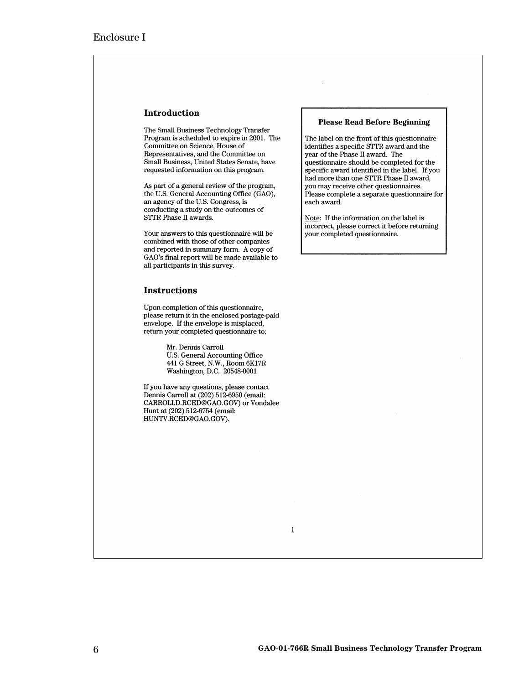### Introduction

The Small Business Technology Transfer Program is scheduled to expire in 2001. The Committee on Science, House of Representatives, and the Committee on Small Business, United States Senate, have requested information on this program.

As part of a general review of the program, the U.S. General Accounting Office (GAO), an agency of the U.S. Congress, is conducting a study on the outcomes of STTR Phase II awards.

Your answers to this questionnaire will be combined with those of other companies and reported in summary form. A copy of GAO's final report will be made available to all participants in this survey.

### **Instructions**

Upon completion of this questionnaire, please return it in the enclosed postage-paid envelope. If the envelope is misplaced, return your completed questionnaire to:

> Mr. Dennis Carroll U.S. General Accounting Office 441 G Street, N.W., Room 6K17R Washington, D.C. 20548-0001

If you have any questions, please contact Dennis Carroll at (202) 512-6950 (email: CARROLLD.RCED@GAO.GOV) or Vondalee Hunt at (202) 512-6754 (email: HUNTV.RCED@GAO.GOV).

 $\mathbf{1}$ 

#### **Please Read Before Beginning**

The label on the front of this questionnaire identifies a specific STTR award and the year of the Phase II award. The questionnaire should be completed for the specific award identified in the label. If you had more than one STTR Phase II award, you may receive other questionnaires. Please complete a separate questionnaire for each award.

Note: If the information on the label is incorrect, please correct it before returning your completed questionnaire.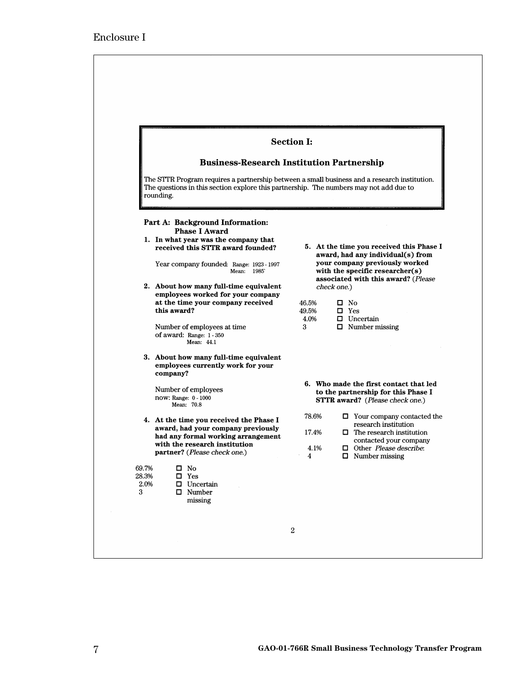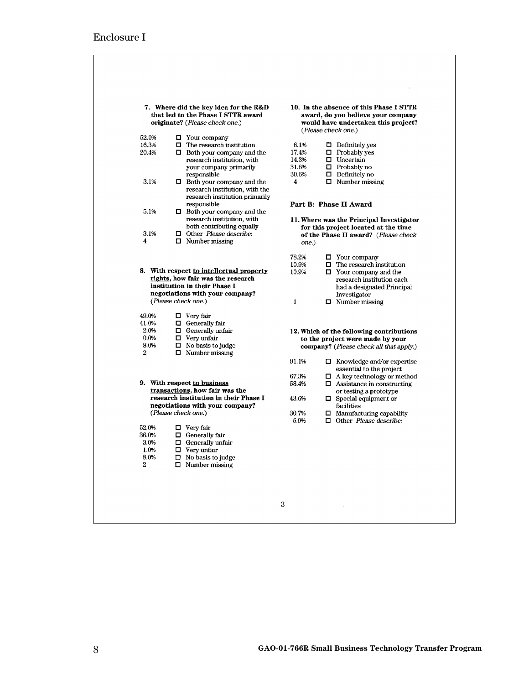|                                                            | 7. Where did the key idea for the R&D<br>that led to the Phase I STTR award<br>originate? (Please check one.)                                                           |                                          | 10. In the absence of this Phase I STTR<br>award, do you believe your company<br>would have undertaken this project?<br>(Please check one.)                                               |
|------------------------------------------------------------|-------------------------------------------------------------------------------------------------------------------------------------------------------------------------|------------------------------------------|-------------------------------------------------------------------------------------------------------------------------------------------------------------------------------------------|
| 52.0%                                                      | $\Box$ Your company                                                                                                                                                     |                                          |                                                                                                                                                                                           |
| 16.3%<br>20.4%                                             | $\Box$ The research institution<br>$\Box$ Both your company and the<br>research institution, with<br>your company primarily<br>responsible                              | 6.1%<br>17.4%<br>14.3%<br>31.6%<br>30.6% | $\Box$ Definitely yes<br>$\Box$ Probably yes<br>$\Box$ Uncertain<br>$\Box$ Probably no<br>$\Box$ Definitely no                                                                            |
| 3.1%                                                       | $\Box$ Both your company and the<br>research institution, with the<br>research institution primarily                                                                    | 4                                        | $\Box$ Number missing                                                                                                                                                                     |
| 5.1%                                                       | responsible                                                                                                                                                             |                                          | Part B: Phase II Award                                                                                                                                                                    |
| 3.1%<br>4                                                  | $\Box$ Both your company and the<br>research institution, with<br>both contributing equally<br>$\Box$ Other Please describe:<br>$\Box$ Number missing                   | one.)                                    | 11. Where was the Principal Investigator<br>for this project located at the time<br>of the Phase II award? (Please check                                                                  |
|                                                            | 8. With respect to intellectual property<br>rights, how fair was the research<br>institution in their Phase I<br>negotiations with your company?<br>(Please check one.) | 78.2%<br>10.9%<br>10.9%<br>$\mathbf{1}$  | $\Box$ Your company<br>$\Box$ The research institution<br>$\Box$ Your company and the<br>research institution each<br>had a designated Principal<br>Investigator<br>$\Box$ Number missing |
| 49.0%<br>41.0%<br>2.0%<br>0.0%<br>8.0%<br>$\boldsymbol{2}$ | $\Box$ Very fair<br>$\Box$ Generally fair<br>$\Box$ Generally unfair<br>$\Box$ Very unfair<br>$\Box$ No basis to judge<br>$\Box$ Number missing                         |                                          | 12. Which of the following contributions<br>to the project were made by your<br><b>company?</b> (Please check all that apply.)                                                            |
|                                                            |                                                                                                                                                                         | 91.1%                                    | $\Box$ Knowledge and/or expertise                                                                                                                                                         |
|                                                            | 9. With respect to business<br>transactions, how fair was the                                                                                                           | 67.3%<br>58.4%                           | essential to the project<br>$\Box$ A key technology or method<br>$\Box$ Assistance in constructing                                                                                        |
|                                                            | research institution in their Phase I                                                                                                                                   | 43.6%                                    | or testing a prototype<br>$\Box$ Special equipment or                                                                                                                                     |
|                                                            | negotiations with your company?<br>(Please check one.)                                                                                                                  | 30.7%<br>5.9%                            | facilities<br>$\Box$ Manufacturing capability<br>$\Box$ Other Please describe:                                                                                                            |
| 52.0%<br>36.0%<br>3.0%<br>1.0%<br>8.0%<br>2                | $\Box$ Very fair<br>$\Box$ Generally fair<br>$\Box$ Generally unfair<br>$\Box$ Very untair<br>$\Box$ No basis to judge<br>$\Box$ Number missing                         |                                          |                                                                                                                                                                                           |
|                                                            |                                                                                                                                                                         |                                          |                                                                                                                                                                                           |
|                                                            |                                                                                                                                                                         | 3                                        |                                                                                                                                                                                           |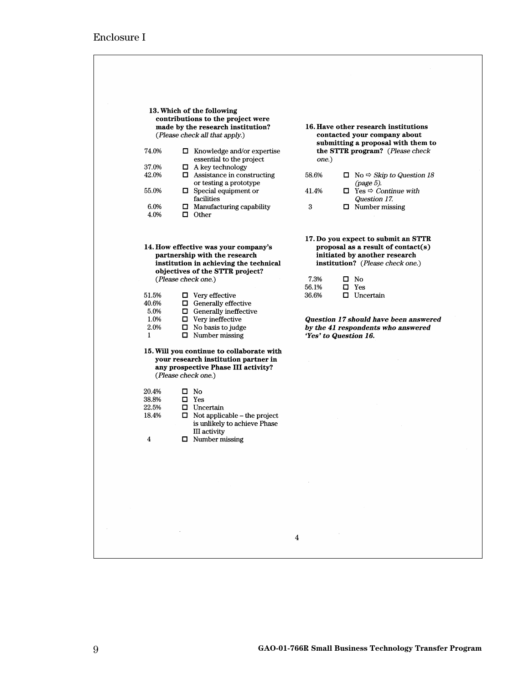| 13. Which of the following                                                                                                                                                                                                                                                                                                                                                                                                                             |                                     |                                                                        |
|--------------------------------------------------------------------------------------------------------------------------------------------------------------------------------------------------------------------------------------------------------------------------------------------------------------------------------------------------------------------------------------------------------------------------------------------------------|-------------------------------------|------------------------------------------------------------------------|
| contributions to the project were                                                                                                                                                                                                                                                                                                                                                                                                                      |                                     |                                                                        |
| made by the research institution?                                                                                                                                                                                                                                                                                                                                                                                                                      |                                     | 16. Have other research institutions                                   |
| (Please check all that apply.)                                                                                                                                                                                                                                                                                                                                                                                                                         |                                     | contacted your company about                                           |
|                                                                                                                                                                                                                                                                                                                                                                                                                                                        |                                     | submitting a proposal with them to                                     |
| 74.0%                                                                                                                                                                                                                                                                                                                                                                                                                                                  | $\Box$ Knowledge and/or expertise   | the STTR program? (Please check                                        |
| essential to the project                                                                                                                                                                                                                                                                                                                                                                                                                               | one.)                               |                                                                        |
| 37.0%<br>$\Box$ A key technology<br>42.0%<br>$\Box$ Assistance in constructing                                                                                                                                                                                                                                                                                                                                                                         | 58.6%                               |                                                                        |
| or testing a prototype                                                                                                                                                                                                                                                                                                                                                                                                                                 |                                     | $\Box$ No $\Leftrightarrow$ <i>Skip to Question 18</i><br>$(page 5)$ . |
| 55.0%<br>$\Box$ Special equipment or                                                                                                                                                                                                                                                                                                                                                                                                                   | 41.4%                               | $\Box$ Yes $\Rightarrow$ Continue with                                 |
| facilities                                                                                                                                                                                                                                                                                                                                                                                                                                             |                                     | Question 17.                                                           |
| 6.0%<br>$\Box$ Manufacturing capability                                                                                                                                                                                                                                                                                                                                                                                                                | 3                                   | $\Box$ Number missing                                                  |
| 4.0%<br>$\Box$ Other                                                                                                                                                                                                                                                                                                                                                                                                                                   |                                     |                                                                        |
|                                                                                                                                                                                                                                                                                                                                                                                                                                                        |                                     |                                                                        |
|                                                                                                                                                                                                                                                                                                                                                                                                                                                        |                                     |                                                                        |
|                                                                                                                                                                                                                                                                                                                                                                                                                                                        |                                     | 17. Do you expect to submit an STTR                                    |
| 14. How effective was your company's                                                                                                                                                                                                                                                                                                                                                                                                                   |                                     | proposal as a result of contact( $s$ )                                 |
| partnership with the research<br>institution in achieving the technical                                                                                                                                                                                                                                                                                                                                                                                |                                     | initiated by another research<br>institution? (Please check one.)      |
| objectives of the STTR project?                                                                                                                                                                                                                                                                                                                                                                                                                        |                                     |                                                                        |
| (Please check one.)                                                                                                                                                                                                                                                                                                                                                                                                                                    | 7.3%                                | $\square$ No                                                           |
|                                                                                                                                                                                                                                                                                                                                                                                                                                                        | 56.1%                               | $\square$ Yes                                                          |
| 51.5%<br>$\Box$ Very effective                                                                                                                                                                                                                                                                                                                                                                                                                         | 36.6%                               | $\Box$ Uncertain                                                       |
| 40.6%<br>$\Box$ Generally effective                                                                                                                                                                                                                                                                                                                                                                                                                    |                                     |                                                                        |
| 5.0%<br>$\Box$ Generally ineffective                                                                                                                                                                                                                                                                                                                                                                                                                   |                                     |                                                                        |
| 1.0%<br>$\Box$ Very ineffective                                                                                                                                                                                                                                                                                                                                                                                                                        |                                     | Question 17 should have been answered                                  |
| 2.0%<br>$\Box$ No basis to judge<br>$\Box$ Number missing<br>1                                                                                                                                                                                                                                                                                                                                                                                         |                                     | by the 41 respondents who answered<br>'Yes' to Question 16.            |
|                                                                                                                                                                                                                                                                                                                                                                                                                                                        |                                     |                                                                        |
| 15. Will you continue to collaborate with                                                                                                                                                                                                                                                                                                                                                                                                              |                                     |                                                                        |
| your research institution partner in                                                                                                                                                                                                                                                                                                                                                                                                                   |                                     |                                                                        |
| any prospective Phase III activity?                                                                                                                                                                                                                                                                                                                                                                                                                    |                                     |                                                                        |
| (Please check one.)                                                                                                                                                                                                                                                                                                                                                                                                                                    |                                     |                                                                        |
|                                                                                                                                                                                                                                                                                                                                                                                                                                                        |                                     |                                                                        |
| 20.4%<br>$\square$ No                                                                                                                                                                                                                                                                                                                                                                                                                                  |                                     |                                                                        |
| 38.8%<br>$\square$ Yes                                                                                                                                                                                                                                                                                                                                                                                                                                 |                                     |                                                                        |
| 22.5%<br>$\Box$ Uncertain<br>18.4%                                                                                                                                                                                                                                                                                                                                                                                                                     | $\Box$ Not applicable – the project |                                                                        |
|                                                                                                                                                                                                                                                                                                                                                                                                                                                        | is unlikely to achieve Phase        |                                                                        |
| III activity                                                                                                                                                                                                                                                                                                                                                                                                                                           |                                     |                                                                        |
| $\Box$ Number missing<br>4                                                                                                                                                                                                                                                                                                                                                                                                                             |                                     |                                                                        |
|                                                                                                                                                                                                                                                                                                                                                                                                                                                        |                                     |                                                                        |
|                                                                                                                                                                                                                                                                                                                                                                                                                                                        |                                     |                                                                        |
|                                                                                                                                                                                                                                                                                                                                                                                                                                                        |                                     |                                                                        |
|                                                                                                                                                                                                                                                                                                                                                                                                                                                        |                                     |                                                                        |
| $\label{eq:2.1} \frac{1}{\sqrt{2}}\left(\frac{1}{\sqrt{2}}\right)^{2} \left(\frac{1}{\sqrt{2}}\right)^{2} \left(\frac{1}{\sqrt{2}}\right)^{2} \left(\frac{1}{\sqrt{2}}\right)^{2} \left(\frac{1}{\sqrt{2}}\right)^{2} \left(\frac{1}{\sqrt{2}}\right)^{2} \left(\frac{1}{\sqrt{2}}\right)^{2} \left(\frac{1}{\sqrt{2}}\right)^{2} \left(\frac{1}{\sqrt{2}}\right)^{2} \left(\frac{1}{\sqrt{2}}\right)^{2} \left(\frac{1}{\sqrt{2}}\right)^{2} \left(\$ |                                     |                                                                        |
|                                                                                                                                                                                                                                                                                                                                                                                                                                                        |                                     |                                                                        |
|                                                                                                                                                                                                                                                                                                                                                                                                                                                        |                                     |                                                                        |
|                                                                                                                                                                                                                                                                                                                                                                                                                                                        |                                     |                                                                        |
|                                                                                                                                                                                                                                                                                                                                                                                                                                                        |                                     |                                                                        |
|                                                                                                                                                                                                                                                                                                                                                                                                                                                        |                                     |                                                                        |
|                                                                                                                                                                                                                                                                                                                                                                                                                                                        | $\overline{\mathbf{4}}$             |                                                                        |
|                                                                                                                                                                                                                                                                                                                                                                                                                                                        |                                     |                                                                        |
|                                                                                                                                                                                                                                                                                                                                                                                                                                                        |                                     |                                                                        |

┑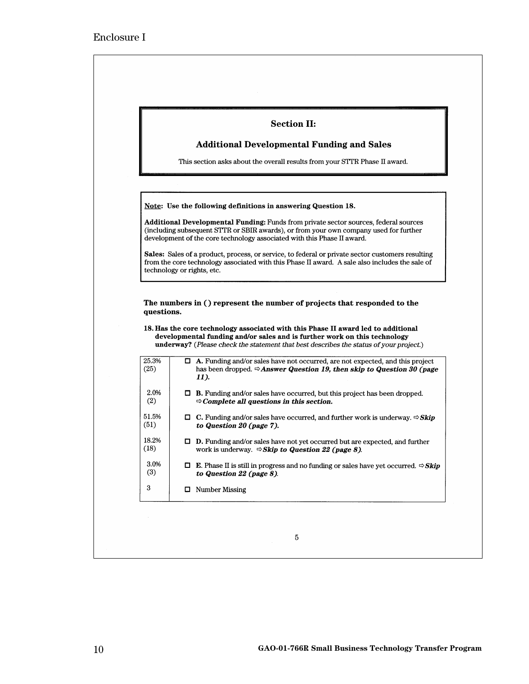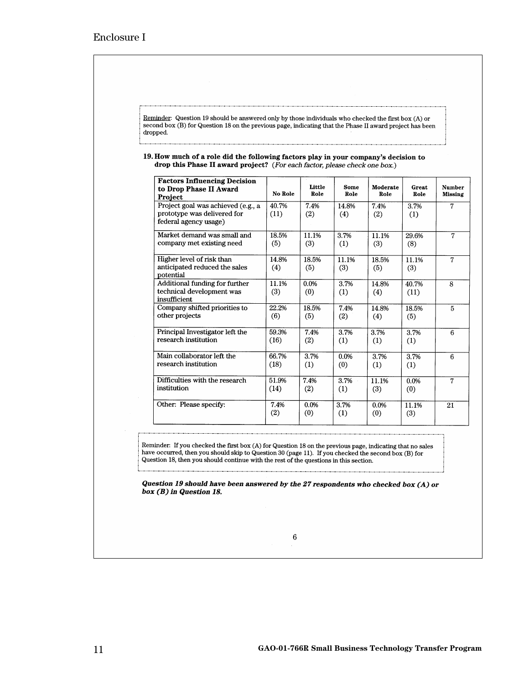| <b>Factors Influencing Decision</b><br>to Drop Phase II Award                              |               | Little       | Some         | Moderate     | Great         | Number         |
|--------------------------------------------------------------------------------------------|---------------|--------------|--------------|--------------|---------------|----------------|
| Project                                                                                    | No Role       | Role         | Role         | Role         | Role          | <b>Missing</b> |
| Project goal was achieved (e.g., a<br>prototype was delivered for<br>federal agency usage) | 40.7%<br>(11) | 7.4%<br>(2)  | 14.8%<br>(4) | 7.4%<br>(2)  | 3.7%<br>(1)   | 7              |
| Market demand was small and<br>company met existing need                                   | 18.5%<br>(5)  | 11.1%<br>(3) | 3.7%<br>(1)  | 11.1%<br>(3) | 29.6%<br>(8)  | 7              |
| Higher level of risk than<br>anticipated reduced the sales<br>potential                    | 14.8%<br>(4)  | 18.5%<br>(5) | 11.1%<br>(3) | 18.5%<br>(5) | 11.1%<br>(3)  | 7              |
| Additional funding for further<br>technical development was<br>insufficient                | 11.1%<br>(3)  | 0.0%<br>(0)  | 3.7%<br>(1)  | 14.8%<br>(4) | 40.7%<br>(11) | 8              |
| Company shifted priorities to<br>other projects                                            | 22.2%<br>(6)  | 18.5%<br>(5) | 7.4%<br>(2)  | 14.8%<br>(4) | 18.5%<br>(5)  | 5              |
| Principal Investigator left the<br>research institution                                    | 59.3%<br>(16) | 7.4%<br>(2)  | 3.7%<br>(1)  | 3.7%<br>(1)  | 3.7%<br>(1)   | 6              |
| Main collaborator left the<br>research institution                                         | 66.7%<br>(18) | 3.7%<br>(1)  | 0.0%<br>(0)  | 3.7%<br>(1)  | 3.7%<br>(1)   | 6              |
| Difficulties with the research<br>institution                                              | 51.9%<br>(14) | 7.4%<br>(2)  | 3.7%<br>(1)  | 11.1%<br>(3) | 0.0%<br>(0)   | 7              |
| Other: Please specify:                                                                     | 7.4%<br>(2)   | 0.0%<br>(0)  | 3.7%<br>(1)  | 0.0%<br>(0)  | 11.1%<br>(3)  | 21             |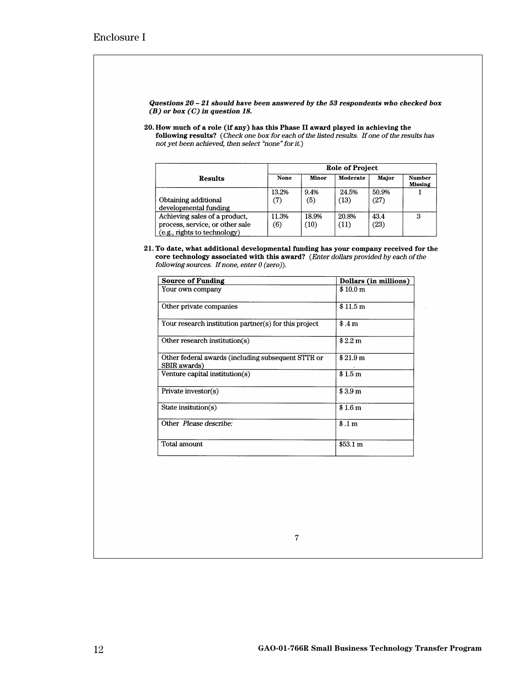Questions  $20 - 21$  should have been answered by the 53 respondents who checked box  $(B)$  or box  $(C)$  in question 18.

20. How much of a role (if any) has this Phase II award played in achieving the following results? (Check one box for each of the listed results. If one of the results has not yet been achieved, then select "none" for it.)

|                                                                                                  |              | Role of Project |               |               |                                 |  |
|--------------------------------------------------------------------------------------------------|--------------|-----------------|---------------|---------------|---------------------------------|--|
| <b>Results</b>                                                                                   | None         | <b>Minor</b>    | Moderate      | Major         | <b>Number</b><br><b>Missing</b> |  |
| Obtaining additional<br>developmental funding                                                    | 13.2%<br>(7) | 9.4%<br>(5)     | 24.5%<br>(13) | 50.9%<br>(27) |                                 |  |
| Achieving sales of a product,<br>process, service, or other sale<br>(e.g., rights to technology) | 11.3%<br>(6) | 18.9%<br>(10)   | 20.8%<br>(11) | 43.4<br>(23)  | 3                               |  |

21. To date, what additional developmental funding has your company received for the core technology associated with this award? (Enter dollars provided by each of the following sources. If none, enter  $0$  (zero)).

| Source of Funding                                                  | Dollars (in millions) |
|--------------------------------------------------------------------|-----------------------|
| Your own company                                                   | \$10.0 m              |
| Other private companies                                            | \$11.5 m              |
| Your research institution partner(s) for this project              | \$.4m                 |
| Other research institution( $s$ )                                  | \$2.2 m               |
| Other federal awards (including subsequent STTR or<br>SBIR awards) | \$21.9 m              |
| Venture capital institution(s)                                     | \$1.5 <sub>m</sub>    |
| Private investor(s)                                                | \$3.9 m               |
| State insitution(s)                                                | \$1.6 m               |
| Other Please describe:                                             | \$.1 m                |
| Total amount                                                       | \$53.1 m              |

 $\overline{7}$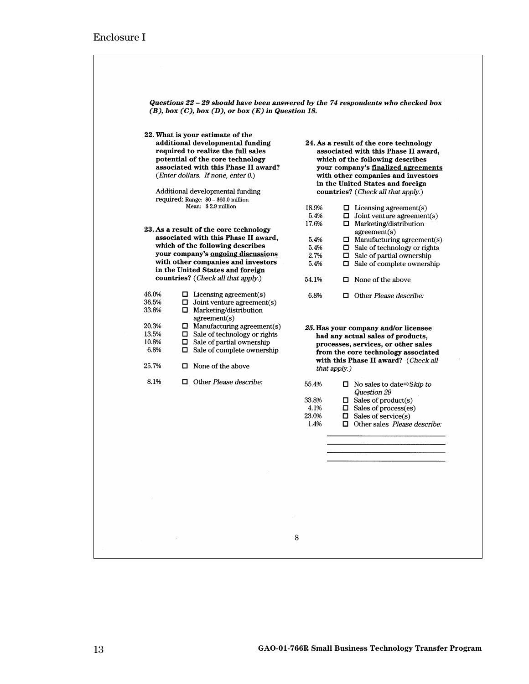|                                 | 22. What is your estimate of the                                                                                                                                                         |                      |              |                                                                                                                                                                                                        |
|---------------------------------|------------------------------------------------------------------------------------------------------------------------------------------------------------------------------------------|----------------------|--------------|--------------------------------------------------------------------------------------------------------------------------------------------------------------------------------------------------------|
|                                 | additional developmental funding<br>required to realize the full sales<br>potential of the core technology<br>associated with this Phase II award?<br>(Enter dollars. If none, enter 0.) |                      |              | 24. As a result of the core technology<br>associated with this Phase II award,<br>which of the following describes<br>your company's <u>finalized agreements</u><br>with other companies and investors |
|                                 |                                                                                                                                                                                          |                      |              | in the United States and foreign                                                                                                                                                                       |
|                                 | Additional developmental funding                                                                                                                                                         |                      |              | countries? (Check all that apply.)                                                                                                                                                                     |
|                                 | required: Range: $$0 - $60.0$ million<br>Mean: \$2.9 million                                                                                                                             | 18.9%<br>5.4%        |              | $\Box$ Licensing agreement(s)<br>$\Box$ Joint venture agreement(s)                                                                                                                                     |
|                                 | 23. As a result of the core technology                                                                                                                                                   | 17.6%                |              | $\Box$ Marketing/distribution<br>agreement(s)                                                                                                                                                          |
|                                 | associated with this Phase II award.<br>which of the following describes<br>your company's ongoing discussions                                                                           | 5.4%<br>5.4%<br>2.7% |              | $\Box$ Manufacturing agreement(s)<br>$\Box$ Sale of technology or rights<br>$\Box$ Sale of partial ownership                                                                                           |
|                                 | with other companies and investors<br>in the United States and foreign                                                                                                                   | 5.4%                 |              | $\Box$ Sale of complete ownership                                                                                                                                                                      |
|                                 | countries? (Check all that apply.)                                                                                                                                                       | 54.1%                |              | $\Box$ None of the above                                                                                                                                                                               |
| 46.0%<br>36.5%<br>33.8%         | $\Box$ Licensing agreement(s)<br>$\Box$ Joint venture agreement(s)<br>$\Box$ Marketing/distribution<br>agreement(s)                                                                      | 6.8%                 |              | $\Box$ Other Please describe:                                                                                                                                                                          |
| 20.3%<br>13.5%<br>10.8%<br>6.8% | $\Box$ Manufacturing agreement(s)<br>$\Box$ Sale of technology or rights<br>$\Box$ Sale of partial ownership<br>$\Box$ Sale of complete ownership                                        |                      |              | 25. Has your company and/or licensee<br>had any actual sales of products,<br>processes, services, or other sales<br>from the core technology associated                                                |
| 25.7%                           | $\Box$ None of the above                                                                                                                                                                 |                      | that apply.) | with this Phase II award? (Check all                                                                                                                                                                   |
| 8.1%                            | $\Box$ Other Please describe:                                                                                                                                                            | 55.4%                |              | $\Box$ No sales to date $\Im$ Skip to<br>Question 29                                                                                                                                                   |
|                                 |                                                                                                                                                                                          | 33.8%<br>4.1%        |              | $\Box$ Sales of product(s)<br>$\Box$ Sales of process(es)                                                                                                                                              |
|                                 |                                                                                                                                                                                          | 23.0%<br>1.4%        |              | $\Box$ Sales of service(s)<br>$\Box$ Other sales <i>Please describe:</i>                                                                                                                               |
|                                 |                                                                                                                                                                                          |                      |              |                                                                                                                                                                                                        |
|                                 |                                                                                                                                                                                          |                      |              |                                                                                                                                                                                                        |
|                                 |                                                                                                                                                                                          |                      |              |                                                                                                                                                                                                        |
|                                 |                                                                                                                                                                                          |                      |              |                                                                                                                                                                                                        |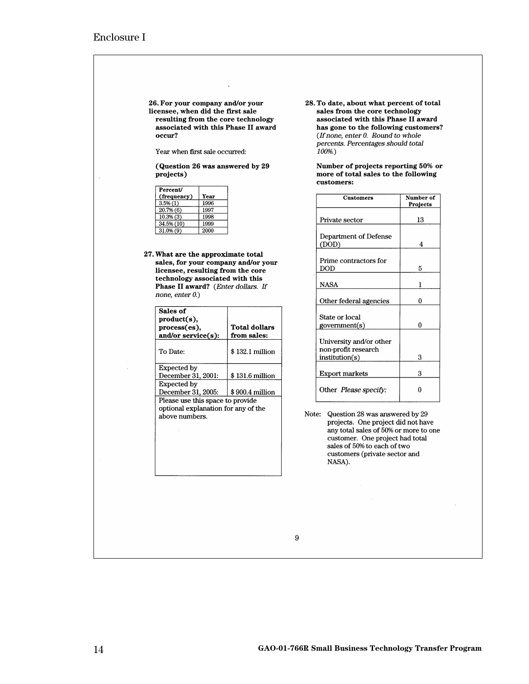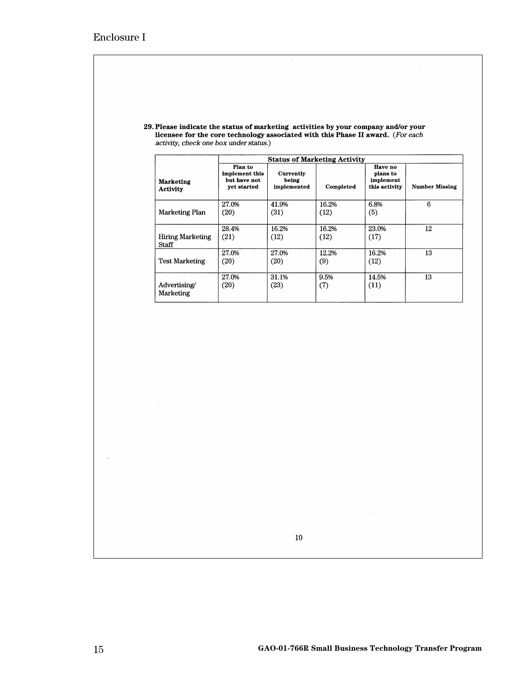| 29. Please indicate the status of marketing activities by your company and/or your |  |
|------------------------------------------------------------------------------------|--|
| licensee for the core technology associated with this Phase II award. (For each    |  |
| activity, check one box under status.)                                             |  |

 $\hat{\boldsymbol{\beta}}$ 

|                                     |                                                          |                                   | <b>Status of Marketing Activity</b> |                                                   |                       |
|-------------------------------------|----------------------------------------------------------|-----------------------------------|-------------------------------------|---------------------------------------------------|-----------------------|
| <b>Marketing</b><br><b>Activity</b> | Plan to<br>implement this<br>but have not<br>yet started | Currently<br>being<br>implemented | Completed                           | Have no<br>plans to<br>implement<br>this activity | <b>Number Missing</b> |
| <b>Marketing Plan</b>               | 27.0%<br>(20)                                            | 41.9%<br>(31)                     | 16.2%<br>(12)                       | 6.8%<br>(5)                                       | 6                     |
| <b>Hiring Marketing</b><br>Staff    | 28.4%<br>(21)                                            | 16.2%<br>(12)                     | 16.2%<br>(12)                       | 23.0%<br>(17)                                     | 12                    |
| <b>Test Marketing</b>               | 27.0%<br>(20)                                            | 27.0%<br>(20)                     | 12.2%<br>(9)                        | 16.2%<br>(12)                                     | 13                    |
| Advertising/<br>Marketing           | 27.0%<br>(20)                                            | 31.1%<br>(23)                     | 9.5%<br>(7)                         | 14.5%<br>(11)                                     | 13                    |

 $10\,$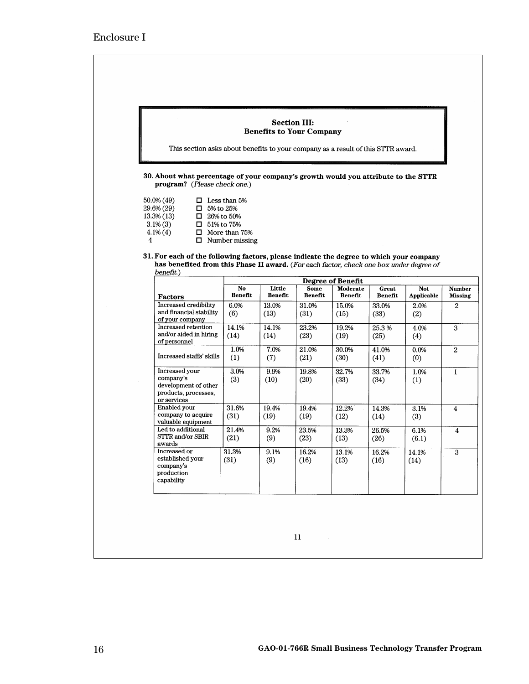| This section asks about benefits to your company as a result of this STTR award.                                                                                                   |                                               | <b>Section III:</b> | <b>Benefits to Your Company</b> |                                      |               |               |                |
|------------------------------------------------------------------------------------------------------------------------------------------------------------------------------------|-----------------------------------------------|---------------------|---------------------------------|--------------------------------------|---------------|---------------|----------------|
| 30. About what percentage of your company's growth would you attribute to the STTR                                                                                                 |                                               |                     |                                 |                                      |               |               |                |
| program? (Please check one.)                                                                                                                                                       |                                               |                     |                                 |                                      |               |               |                |
| 50.0% (49)<br>0                                                                                                                                                                    | Less than 5%                                  |                     |                                 |                                      |               |               |                |
| 29.6% (29)<br>0<br>13.3% (13)<br>0.                                                                                                                                                | 5% to 25%<br>26% to 50%                       |                     |                                 |                                      |               |               |                |
| $3.1\%$ (3)<br>$\Box$ 51% to 75%                                                                                                                                                   |                                               |                     |                                 |                                      |               |               |                |
| $4.1\%$ $(4)$<br>4                                                                                                                                                                 | $\Box$ More than 75%<br>$\Box$ Number missing |                     |                                 |                                      |               |               |                |
|                                                                                                                                                                                    |                                               |                     |                                 |                                      |               |               |                |
| 31. For each of the following factors, please indicate the degree to which your company<br>has benefited from this Phase II award. (For each factor, check one box under degree of |                                               |                     |                                 |                                      |               |               |                |
| benefit.)                                                                                                                                                                          |                                               |                     |                                 |                                      |               |               |                |
|                                                                                                                                                                                    | No                                            | Little              | <b>Some</b>                     | <b>Degree of Benefit</b><br>Moderate | Great         | <b>Not</b>    | <b>Number</b>  |
| Factors                                                                                                                                                                            | <b>Benefit</b>                                | <b>Benefit</b>      | <b>Benefit</b>                  | <b>Benefit</b>                       | Benefit       | Applicable    | <b>Missing</b> |
| Increased credibility                                                                                                                                                              | 6.0%                                          | 13.0%               | 31.0%                           | 15.0%                                | 33.0%         | 2.0%          | $\overline{2}$ |
|                                                                                                                                                                                    |                                               |                     |                                 |                                      |               |               |                |
| and financial stability                                                                                                                                                            | (6)                                           | (13)                | (31)                            | (15)                                 | (33)          | (2)           |                |
| of your company<br>Increased retention                                                                                                                                             | 14.1%                                         | 14.1%               | 23.2%                           | 19.2%                                | 25.3%         | 4.0%          | 3              |
| and/or aided in hiring                                                                                                                                                             | (14)                                          | (14)                | (23)                            | (19)                                 | (25)          | (4)           |                |
| of personnel                                                                                                                                                                       |                                               |                     |                                 |                                      |               |               |                |
| Increased staffs' skills                                                                                                                                                           | 1.0%<br>(1)                                   | 7.0%<br>(7)         | 21.0%<br>(21)                   | 30.0%<br>(30)                        | 41.0%<br>(41) | 0.0%<br>(0)   | $\overline{2}$ |
|                                                                                                                                                                                    |                                               |                     |                                 |                                      |               |               |                |
| Increased your<br>company's                                                                                                                                                        | 3.0%                                          | 9.9%                | 19.8%                           | 32.7%                                | 33.7%         | 1.0%          | $\mathbf{1}$   |
| development of other                                                                                                                                                               | (3)                                           | (10)                | (20)                            | (33)                                 | (34)          | (1)           |                |
| products, processes,                                                                                                                                                               |                                               |                     |                                 |                                      |               |               |                |
| or services<br>Enabled your                                                                                                                                                        | 31.6%                                         | 19.4%               | 19.4%                           | 12.2%                                | 14.3%         | 3.1%          | 4              |
| company to acquire                                                                                                                                                                 | (31)                                          | (19)                | (19)                            | (12)                                 | (14)          | (3)           |                |
| valuable equipment<br>Led to additional                                                                                                                                            | 21.4%                                         | 9.2%                | 23.5%                           | 13.3%                                | 26.5%         |               |                |
| STTR and/or SBIR                                                                                                                                                                   |                                               | (9)                 | (23)                            | (13)                                 |               | 6.1%<br>(6.1) | 4              |
| awards                                                                                                                                                                             | (21)                                          |                     |                                 |                                      | (26)          |               |                |
| Increased or<br>established your                                                                                                                                                   | 31.3%<br>(31)                                 | 9.1%                | 16.2%<br>(16)                   | 13.1%                                | 16.2%         | 14.1%         | $\overline{3}$ |
| company's                                                                                                                                                                          |                                               | (9)                 |                                 | (13)                                 | (16)          | (14)          |                |
| production<br>capability                                                                                                                                                           |                                               |                     |                                 |                                      |               |               |                |

 $\overline{\phantom{a}}$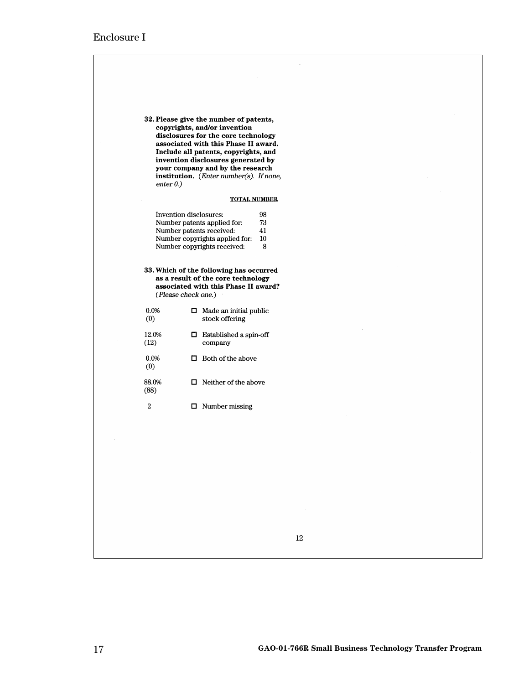| 32. Please give the number of patents,<br>copyrights, and/or invention<br>disclosures for the core technology<br>associated with this Phase II award.<br>Include all patents, copyrights, and<br>invention disclosures generated by<br>your company and by the research<br>institution. (Enter number(s). If none,<br>enter $0.$ )<br><b>TOTAL NUMBER</b><br>Invention disclosures:<br>98<br>73<br>Number patents applied for:<br>Number patents received:<br>41<br>Number copyrights applied for:<br>10<br>Number copyrights received:<br>8<br>33. Which of the following has occurred<br>as a result of the core technology<br>associated with this Phase II award?<br>(Please check one.)<br>0.0%<br>$\Box$ Made an initial public<br>(0)<br>stock offering<br>12.0%<br>$\Box$ Established a spin-off<br>(12)<br>company<br>0.0%<br>$\Box$ Both of the above<br>(0)<br>88.0%<br>$\Box$ Neither of the above<br>(88)<br>$\,2$<br>$\Box$ Number missing |  |
|----------------------------------------------------------------------------------------------------------------------------------------------------------------------------------------------------------------------------------------------------------------------------------------------------------------------------------------------------------------------------------------------------------------------------------------------------------------------------------------------------------------------------------------------------------------------------------------------------------------------------------------------------------------------------------------------------------------------------------------------------------------------------------------------------------------------------------------------------------------------------------------------------------------------------------------------------------|--|
|                                                                                                                                                                                                                                                                                                                                                                                                                                                                                                                                                                                                                                                                                                                                                                                                                                                                                                                                                          |  |
|                                                                                                                                                                                                                                                                                                                                                                                                                                                                                                                                                                                                                                                                                                                                                                                                                                                                                                                                                          |  |
|                                                                                                                                                                                                                                                                                                                                                                                                                                                                                                                                                                                                                                                                                                                                                                                                                                                                                                                                                          |  |
|                                                                                                                                                                                                                                                                                                                                                                                                                                                                                                                                                                                                                                                                                                                                                                                                                                                                                                                                                          |  |
|                                                                                                                                                                                                                                                                                                                                                                                                                                                                                                                                                                                                                                                                                                                                                                                                                                                                                                                                                          |  |
|                                                                                                                                                                                                                                                                                                                                                                                                                                                                                                                                                                                                                                                                                                                                                                                                                                                                                                                                                          |  |
|                                                                                                                                                                                                                                                                                                                                                                                                                                                                                                                                                                                                                                                                                                                                                                                                                                                                                                                                                          |  |
|                                                                                                                                                                                                                                                                                                                                                                                                                                                                                                                                                                                                                                                                                                                                                                                                                                                                                                                                                          |  |
|                                                                                                                                                                                                                                                                                                                                                                                                                                                                                                                                                                                                                                                                                                                                                                                                                                                                                                                                                          |  |
|                                                                                                                                                                                                                                                                                                                                                                                                                                                                                                                                                                                                                                                                                                                                                                                                                                                                                                                                                          |  |
|                                                                                                                                                                                                                                                                                                                                                                                                                                                                                                                                                                                                                                                                                                                                                                                                                                                                                                                                                          |  |
|                                                                                                                                                                                                                                                                                                                                                                                                                                                                                                                                                                                                                                                                                                                                                                                                                                                                                                                                                          |  |
|                                                                                                                                                                                                                                                                                                                                                                                                                                                                                                                                                                                                                                                                                                                                                                                                                                                                                                                                                          |  |
|                                                                                                                                                                                                                                                                                                                                                                                                                                                                                                                                                                                                                                                                                                                                                                                                                                                                                                                                                          |  |
| $12\,$                                                                                                                                                                                                                                                                                                                                                                                                                                                                                                                                                                                                                                                                                                                                                                                                                                                                                                                                                   |  |

 $\cdot$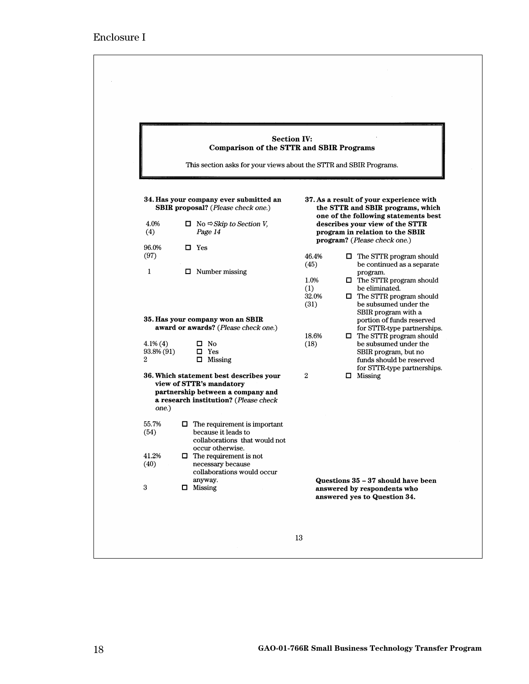|                                |   | <b>Comparison of the STTR and SBIR Programs</b>                                                                                                   | <b>Section IV:</b>                   |                                                                                                                                                       |
|--------------------------------|---|---------------------------------------------------------------------------------------------------------------------------------------------------|--------------------------------------|-------------------------------------------------------------------------------------------------------------------------------------------------------|
|                                |   | This section asks for your views about the STTR and SBIR Programs.                                                                                |                                      |                                                                                                                                                       |
|                                |   | 34. Has your company ever submitted an<br><b>SBIR</b> proposal? (Please check one.)                                                               |                                      | 37. As a result of your experience with<br>the STTR and SBIR programs, which                                                                          |
| 4.0%<br>(4)                    |   | $\Box$ No $\Leftrightarrow$ Skip to Section V,<br>Page 14                                                                                         |                                      | one of the following statements best<br>describes your view of the STTR<br>program in relation to the SBIR                                            |
| 96.0%<br>(97)                  |   | $\square$ Yes                                                                                                                                     | 46.4%                                | program? (Please check one.)<br>$\Box$ The STTR program should                                                                                        |
| $\mathbf{1}$                   | □ | Number missing                                                                                                                                    | (45)<br>1.0%<br>(1)<br>32.0%<br>(31) | be continued as a separate<br>program.<br>$\Box$ The STTR program should<br>be eliminated.<br>$\Box$ The STTR program should<br>be subsumed under the |
|                                |   | 35. Has your company won an SBIR<br>award or awards? (Please check one.)                                                                          |                                      | SBIR program with a<br>portion of funds reserved<br>for STTR-type partnerships.                                                                       |
| $4.1\%$ (4)<br>93.8% (91)<br>2 |   | $\square$ No<br>$\square$ Yes<br>$\Box$ Missing                                                                                                   | 18.6%<br>(18)                        | $\Box$ The STTR program should<br>be subsumed under the<br>SBIR program, but no<br>funds should be reserved                                           |
| one.)                          |   | 36. Which statement best describes your<br>view of STTR's mandatory<br>partnership between a company and<br>a research institution? (Please check | $\mathbf{2}$                         | for STTR-type partnerships.<br>$\Box$ Missing                                                                                                         |
| 55.7%<br>(54)                  | ப | The requirement is important<br>because it leads to<br>collaborations that would not<br>occur otherwise.                                          |                                      |                                                                                                                                                       |
| 41.2%<br>(40)                  |   | $\Box$ The requirement is not<br>necessary because<br>collaborations would occur<br>anyway.                                                       |                                      | Questions 35 - 37 should have been                                                                                                                    |
| $\,3\,$                        |   | $\Box$ Missing                                                                                                                                    |                                      | answered by respondents who<br>answered yes to Question 34.                                                                                           |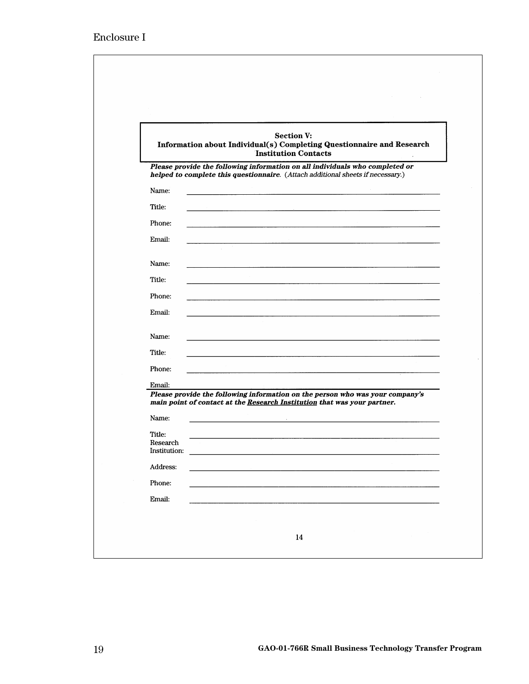|                          | <b>Section V:</b><br>Information about Individual(s) Completing Questionnaire and Research<br><b>Institution Contacts</b>                                       |
|--------------------------|-----------------------------------------------------------------------------------------------------------------------------------------------------------------|
|                          | Please provide the following information on all individuals who completed or<br>helped to complete this questionnaire. (Attach additional sheets if necessary.) |
| Name:                    |                                                                                                                                                                 |
| Title:                   |                                                                                                                                                                 |
| Phone:                   |                                                                                                                                                                 |
| Email:                   |                                                                                                                                                                 |
| Name:                    |                                                                                                                                                                 |
| Title:                   |                                                                                                                                                                 |
| Phone:                   |                                                                                                                                                                 |
| Email:                   |                                                                                                                                                                 |
| Name:                    |                                                                                                                                                                 |
| Title:                   |                                                                                                                                                                 |
| Phone:                   |                                                                                                                                                                 |
| Email:                   |                                                                                                                                                                 |
|                          | Please provide the following information on the person who was your company's<br>main point of contact at the Research Institution that was your partner.       |
| Name:                    |                                                                                                                                                                 |
| Title:                   |                                                                                                                                                                 |
| Research<br>Institution: |                                                                                                                                                                 |
| Address:                 |                                                                                                                                                                 |
| Phone:                   |                                                                                                                                                                 |
| Email:                   |                                                                                                                                                                 |